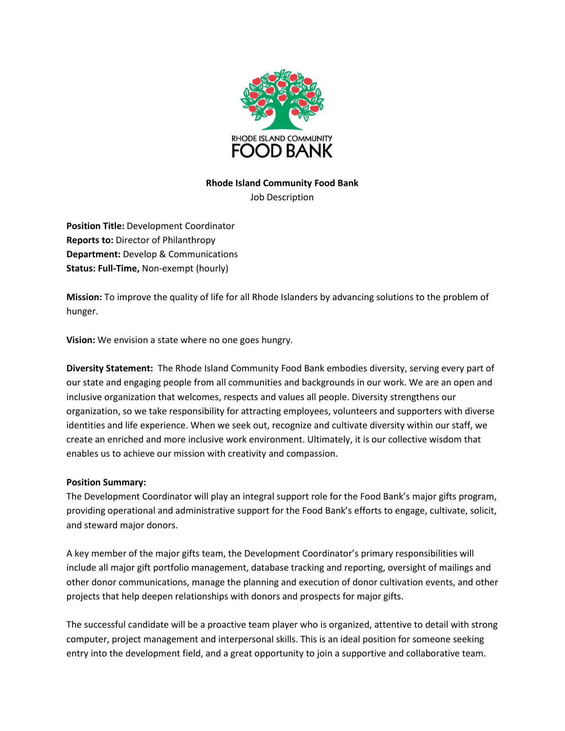

## **Rhode Island Community Food Bank**

Job Description

**Position Title:** Development Coordinator **Reports to:** Director of Philanthropy **Department:** Develop & Communications **Status: Full-Time,** Non-exempt (hourly)

**Mission:** To improve the quality of life for all Rhode Islanders by advancing solutions to the problem of hunger.

**Vision:** We envision a state where no one goes hungry.

**Diversity Statement:** The Rhode Island Community Food Bank embodies diversity, serving every part of our state and engaging people from all communities and backgrounds in our work. We are an open and inclusive organization that welcomes, respects and values all people. Diversity strengthens our organization, so we take responsibility for attracting employees, volunteers and supporters with diverse identities and life experience. When we seek out, recognize and cultivate diversity within our staff, we create an enriched and more inclusive work environment. Ultimately, it is our collective wisdom that enables us to achieve our mission with creativity and compassion.

## **Position Summary:**

The Development Coordinator will play an integral support role for the Food Bank's major gifts program, providing operational and administrative support for the Food Bank's efforts to engage, cultivate, solicit, and steward major donors.

A key member of the major gifts team, the Development Coordinator's primary responsibilities will include all major gift portfolio management, database tracking and reporting, oversight of mailings and other donor communications, manage the planning and execution of donor cultivation events, and other projects that help deepen relationships with donors and prospects for major gifts.

The successful candidate will be a proactive team player who is organized, attentive to detail with strong computer, project management and interpersonal skills. This is an ideal position for someone seeking entry into the development field, and a great opportunity to join a supportive and collaborative team.